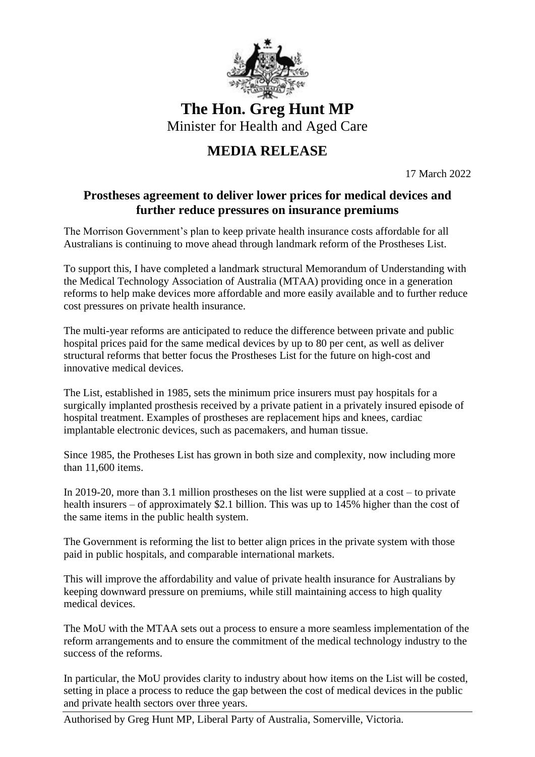

**The Hon. Greg Hunt MP** Minister for Health and Aged Care

## **MEDIA RELEASE**

17 March 2022

## **Prostheses agreement to deliver lower prices for medical devices and further reduce pressures on insurance premiums**

The Morrison Government's plan to keep private health insurance costs affordable for all Australians is continuing to move ahead through landmark reform of the Prostheses List.

To support this, I have completed a landmark structural Memorandum of Understanding with the Medical Technology Association of Australia (MTAA) providing once in a generation reforms to help make devices more affordable and more easily available and to further reduce cost pressures on private health insurance.

The multi-year reforms are anticipated to reduce the difference between private and public hospital prices paid for the same medical devices by up to 80 per cent, as well as deliver structural reforms that better focus the Prostheses List for the future on high-cost and innovative medical devices.

The List, established in 1985, sets the minimum price insurers must pay hospitals for a surgically implanted prosthesis received by a private patient in a privately insured episode of hospital treatment. Examples of prostheses are replacement hips and knees, cardiac implantable electronic devices, such as pacemakers, and human tissue.

Since 1985, the Protheses List has grown in both size and complexity, now including more than 11,600 items.

In 2019-20, more than 3.1 million prostheses on the list were supplied at a cost – to private health insurers – of approximately \$2.1 billion. This was up to 145% higher than the cost of the same items in the public health system.

The Government is reforming the list to better align prices in the private system with those paid in public hospitals, and comparable international markets.

This will improve the affordability and value of private health insurance for Australians by keeping downward pressure on premiums, while still maintaining access to high quality medical devices.

The MoU with the MTAA sets out a process to ensure a more seamless implementation of the reform arrangements and to ensure the commitment of the medical technology industry to the success of the reforms.

In particular, the MoU provides clarity to industry about how items on the List will be costed, setting in place a process to reduce the gap between the cost of medical devices in the public and private health sectors over three years.